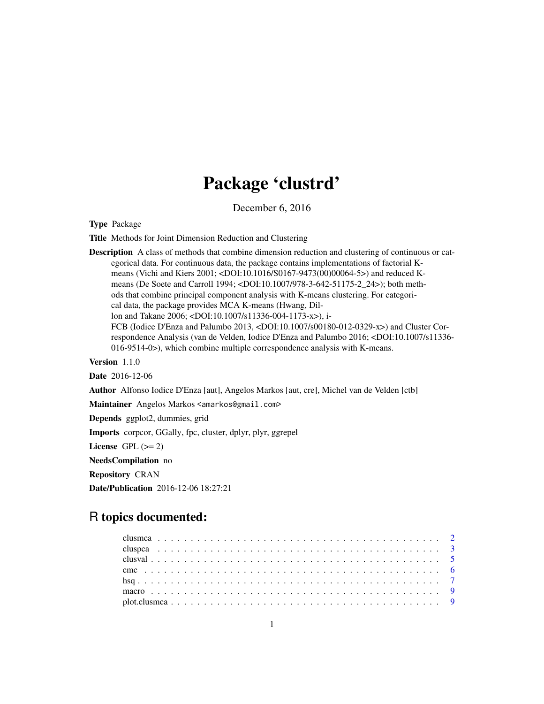## Package 'clustrd'

December 6, 2016

Type Package

Title Methods for Joint Dimension Reduction and Clustering

**Description** A class of methods that combine dimension reduction and clustering of continuous or categorical data. For continuous data, the package contains implementations of factorial Kmeans (Vichi and Kiers 2001; <DOI:10.1016/S0167-9473(00)00064-5>) and reduced Kmeans (De Soete and Carroll 1994; <DOI:10.1007/978-3-642-51175-2\_24>); both methods that combine principal component analysis with K-means clustering. For categorical data, the package provides MCA K-means (Hwang, Dillon and Takane 2006; <DOI:10.1007/s11336-004-1173-x>), i-FCB (Iodice D'Enza and Palumbo 2013, <DOI:10.1007/s00180-012-0329-x>) and Cluster Correspondence Analysis (van de Velden, Iodice D'Enza and Palumbo 2016; <DOI:10.1007/s11336- 016-9514-0>), which combine multiple correspondence analysis with K-means. Version 1.1.0

Date 2016-12-06

Author Alfonso Iodice D'Enza [aut], Angelos Markos [aut, cre], Michel van de Velden [ctb]

Maintainer Angelos Markos <amarkos@gmail.com>

Depends ggplot2, dummies, grid

Imports corpcor, GGally, fpc, cluster, dplyr, plyr, ggrepel

License GPL  $(>= 2)$ 

NeedsCompilation no

Repository CRAN

Date/Publication 2016-12-06 18:27:21

## R topics documented: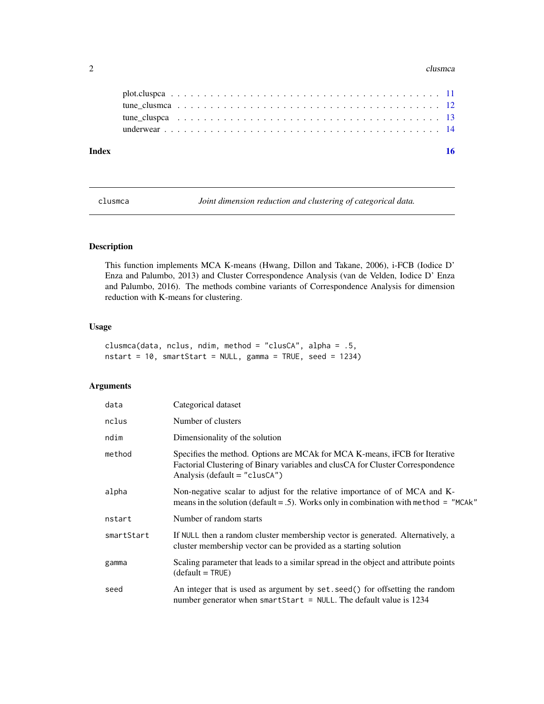#### <span id="page-1-0"></span> $2 \,$  clusmca  $\,$  clusmca  $\,$  clusmca  $\,$  clusmca  $\,$  clusmca  $\,$  clusmca  $\,$  clusmca  $\,$  clusmca  $\,$  clusmca  $\,$  clusmca  $\,$  clusmca  $\,$  clusmca  $\,$  clusmca  $\,$  clusmca  $\,$  clusmca  $\,$  clusmca  $\,$  clusmca

| Index |  |  |  |  |  |  |  |  |  |  |  |  |  |  |  |  |  |  |
|-------|--|--|--|--|--|--|--|--|--|--|--|--|--|--|--|--|--|--|
|       |  |  |  |  |  |  |  |  |  |  |  |  |  |  |  |  |  |  |
|       |  |  |  |  |  |  |  |  |  |  |  |  |  |  |  |  |  |  |
|       |  |  |  |  |  |  |  |  |  |  |  |  |  |  |  |  |  |  |
|       |  |  |  |  |  |  |  |  |  |  |  |  |  |  |  |  |  |  |
|       |  |  |  |  |  |  |  |  |  |  |  |  |  |  |  |  |  |  |

<span id="page-1-1"></span>clusmca *Joint dimension reduction and clustering of categorical data.*

#### Description

This function implements MCA K-means (Hwang, Dillon and Takane, 2006), i-FCB (Iodice D' Enza and Palumbo, 2013) and Cluster Correspondence Analysis (van de Velden, Iodice D' Enza and Palumbo, 2016). The methods combine variants of Correspondence Analysis for dimension reduction with K-means for clustering.

#### Usage

```
clusmca(data, nclus, ndim, method = "clusCA", alpha = .5,
nstart = 10, smartStart = NULL, gamma = TRUE, seed = 1234)
```
#### Arguments

| data       | Categorical dataset                                                                                                                                                                             |
|------------|-------------------------------------------------------------------------------------------------------------------------------------------------------------------------------------------------|
| nclus      | Number of clusters                                                                                                                                                                              |
| ndim       | Dimensionality of the solution                                                                                                                                                                  |
| method     | Specifies the method. Options are MCA for MCA K-means, iFCB for Iterative<br>Factorial Clustering of Binary variables and clusCA for Cluster Correspondence<br>Analysis (default = $"cluster$ ) |
| alpha      | Non-negative scalar to adjust for the relative importance of of MCA and K-<br>means in the solution (default = .5). Works only in combination with method = $"MCAk"$                            |
| nstart     | Number of random starts                                                                                                                                                                         |
| smartStart | If NULL then a random cluster membership vector is generated. Alternatively, a<br>cluster membership vector can be provided as a starting solution                                              |
| gamma      | Scaling parameter that leads to a similar spread in the object and attribute points<br>$(detault = TRUE)$                                                                                       |
| seed       | An integer that is used as argument by set. seed() for offsetting the random<br>number generator when smart Start = NULL. The default value is $1234$                                           |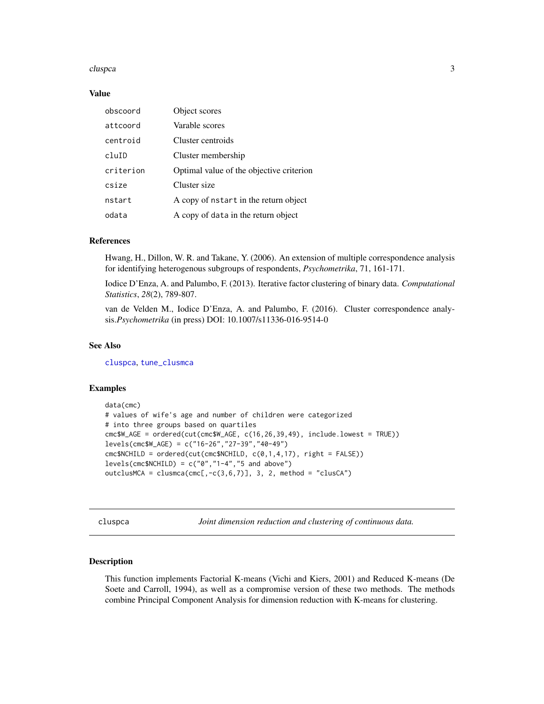#### <span id="page-2-0"></span>cluspca 3

#### Value

| obscoord  | Object scores                            |
|-----------|------------------------------------------|
| attcoord  | Varable scores                           |
| centroid  | Cluster centroids                        |
| cluID     | Cluster membership                       |
| criterion | Optimal value of the objective criterion |
| csize     | Cluster size                             |
| nstart    | A copy of nstart in the return object    |
| odata     | A copy of data in the return object      |

#### References

Hwang, H., Dillon, W. R. and Takane, Y. (2006). An extension of multiple correspondence analysis for identifying heterogenous subgroups of respondents, *Psychometrika*, 71, 161-171.

Iodice D'Enza, A. and Palumbo, F. (2013). Iterative factor clustering of binary data. *Computational Statistics*, *28*(2), 789-807.

van de Velden M., Iodice D'Enza, A. and Palumbo, F. (2016). Cluster correspondence analysis.*Psychometrika* (in press) DOI: 10.1007/s11336-016-9514-0

#### See Also

[cluspca](#page-2-1), [tune\\_clusmca](#page-11-1)

#### Examples

```
data(cmc)
# values of wife's age and number of children were categorized
# into three groups based on quartiles
cmc$W_AGE = ordered(cut(cmc$W_AGE, c(16,26,39,49), include.lowest = TRUE))
levels(cmc$W_AGE) = c("16-26","27-39","40-49")
cmc$NCHILD = ordered(cut(cmc$NCHILD, c(0,1,4,17), right = FALSE))
levels(cmc$NCHILD) = c("0","1-4","5 and above")
outclusMCA = clusmca(cmc[,-c(3,6,7)], 3, 2, method = "clusCA")
```
<span id="page-2-1"></span>cluspca *Joint dimension reduction and clustering of continuous data.*

#### **Description**

This function implements Factorial K-means (Vichi and Kiers, 2001) and Reduced K-means (De Soete and Carroll, 1994), as well as a compromise version of these two methods. The methods combine Principal Component Analysis for dimension reduction with K-means for clustering.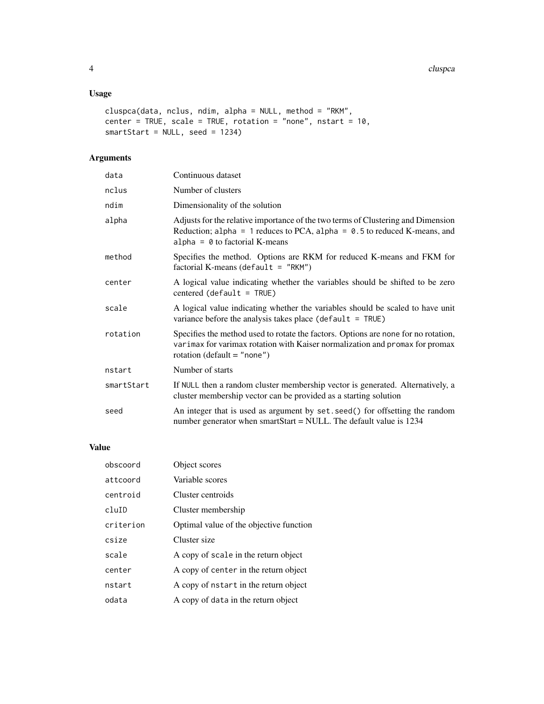#### Usage

```
cluspca(data, nclus, ndim, alpha = NULL, method = "RKM",
center = TRUE, scale = TRUE, rotation = "none", nstart = 10,
smartStart = NULL, seed = 1234)
```
#### Arguments

| data       | Continuous dataset                                                                                                                                                                                      |
|------------|---------------------------------------------------------------------------------------------------------------------------------------------------------------------------------------------------------|
| nclus      | Number of clusters                                                                                                                                                                                      |
| ndim       | Dimensionality of the solution                                                                                                                                                                          |
| alpha      | Adjusts for the relative importance of the two terms of Clustering and Dimension<br>Reduction; alpha = 1 reduces to PCA, alpha = $0.5$ to reduced K-means, and<br>alpha = $\theta$ to factorial K-means |
| method     | Specifies the method. Options are RKM for reduced K-means and FKM for<br>factorial K-means (default = $"RKM"$ )                                                                                         |
| center     | A logical value indicating whether the variables should be shifted to be zero<br>$centered (default = TRUE)$                                                                                            |
| scale      | A logical value indicating whether the variables should be scaled to have unit<br>variance before the analysis takes place ( $default = TRUE$ )                                                         |
| rotation   | Specifies the method used to rotate the factors. Options are none for no rotation,<br>varimax for varimax rotation with Kaiser normalization and promax for promax<br>rotation (default = "none")       |
| nstart     | Number of starts                                                                                                                                                                                        |
| smartStart | If NULL then a random cluster membership vector is generated. Alternatively, a<br>cluster membership vector can be provided as a starting solution                                                      |
| seed       | An integer that is used as argument by set. seed() for offsetting the random<br>number generator when smartStart = NULL. The default value is $1234$                                                    |
|            |                                                                                                                                                                                                         |

#### Value

| obscoord          | Object scores                           |
|-------------------|-----------------------------------------|
| attcoord          | Variable scores                         |
| centroid          | Cluster centroids                       |
| cl <sub>uID</sub> | Cluster membership                      |
| criterion         | Optimal value of the objective function |
| csize             | Cluster size                            |
| scale             | A copy of scale in the return object    |
| center            | A copy of center in the return object   |
| nstart            | A copy of nstart in the return object   |
| odata             | A copy of data in the return object     |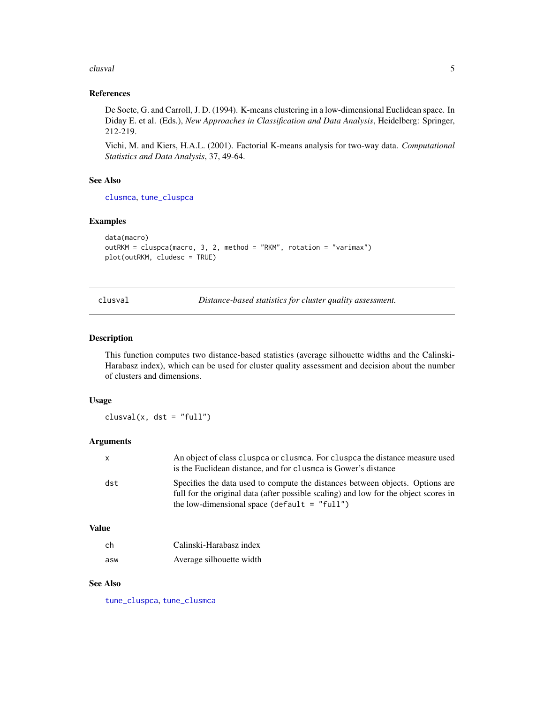#### <span id="page-4-0"></span>clusval 5

#### References

De Soete, G. and Carroll, J. D. (1994). K-means clustering in a low-dimensional Euclidean space. In Diday E. et al. (Eds.), *New Approaches in Classification and Data Analysis*, Heidelberg: Springer, 212-219.

Vichi, M. and Kiers, H.A.L. (2001). Factorial K-means analysis for two-way data. *Computational Statistics and Data Analysis*, 37, 49-64.

#### See Also

[clusmca](#page-1-1), [tune\\_cluspca](#page-12-1)

#### Examples

```
data(macro)
outRKM = cluspca(macro, 3, 2, method = "RKM", rotation = "varimax")
plot(outRKM, cludesc = TRUE)
```
clusval *Distance-based statistics for cluster quality assessment.*

#### Description

This function computes two distance-based statistics (average silhouette widths and the Calinski-Harabasz index), which can be used for cluster quality assessment and decision about the number of clusters and dimensions.

#### Usage

 $clusval(x, dist = "full")$ 

#### Arguments

| X   | An object of class cluspea or clusmea. For cluspea the distance measure used<br>is the Euclidean distance, and for clustrica is Gower's distance                                                                        |
|-----|-------------------------------------------------------------------------------------------------------------------------------------------------------------------------------------------------------------------------|
| dst | Specifies the data used to compute the distances between objects. Options are<br>full for the original data (after possible scaling) and low for the object scores in<br>the low-dimensional space (default $=$ "full") |

#### Value

| - ch | Calinski-Harabasz index  |
|------|--------------------------|
| asw  | Average silhouette width |

#### See Also

[tune\\_cluspca](#page-12-1), [tune\\_clusmca](#page-11-1)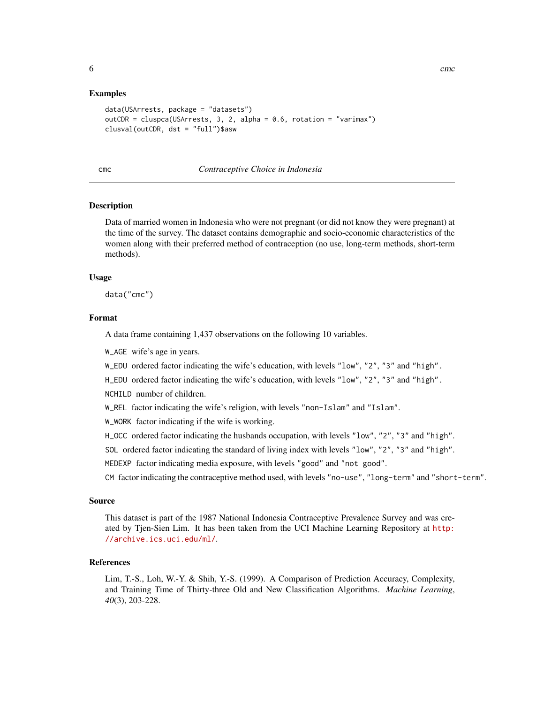#### <span id="page-5-0"></span>Examples

```
data(USArrests, package = "datasets")
outCDR = cluspca(USArrests, 3, 2, alpha = 0.6, rotation = "varimax")
clusval(outCDR, dst = "full")$asw
```
#### cmc *Contraceptive Choice in Indonesia*

#### Description

Data of married women in Indonesia who were not pregnant (or did not know they were pregnant) at the time of the survey. The dataset contains demographic and socio-economic characteristics of the women along with their preferred method of contraception (no use, long-term methods, short-term methods).

#### Usage

data("cmc")

#### Format

A data frame containing 1,437 observations on the following 10 variables.

W\_AGE wife's age in years.

W\_EDU ordered factor indicating the wife's education, with levels "low", "2", "3" and "high".

H\_EDU ordered factor indicating the wife's education, with levels "low", "2", "3" and "high".

NCHILD number of children.

W\_REL factor indicating the wife's religion, with levels "non-Islam" and "Islam".

W\_WORK factor indicating if the wife is working.

H\_OCC ordered factor indicating the husbands occupation, with levels "low", "2", "3" and "high".

SOL ordered factor indicating the standard of living index with levels "low", "2", "3" and "high".

MEDEXP factor indicating media exposure, with levels "good" and "not good".

CM factor indicating the contraceptive method used, with levels "no-use", "long-term" and "short-term".

#### Source

This dataset is part of the 1987 National Indonesia Contraceptive Prevalence Survey and was created by Tjen-Sien Lim. It has been taken from the UCI Machine Learning Repository at [http:](http://archive.ics.uci.edu/ml/) [//archive.ics.uci.edu/ml/](http://archive.ics.uci.edu/ml/).

#### References

Lim, T.-S., Loh, W.-Y. & Shih, Y.-S. (1999). A Comparison of Prediction Accuracy, Complexity, and Training Time of Thirty-three Old and New Classification Algorithms. *Machine Learning*, *40*(3), 203-228.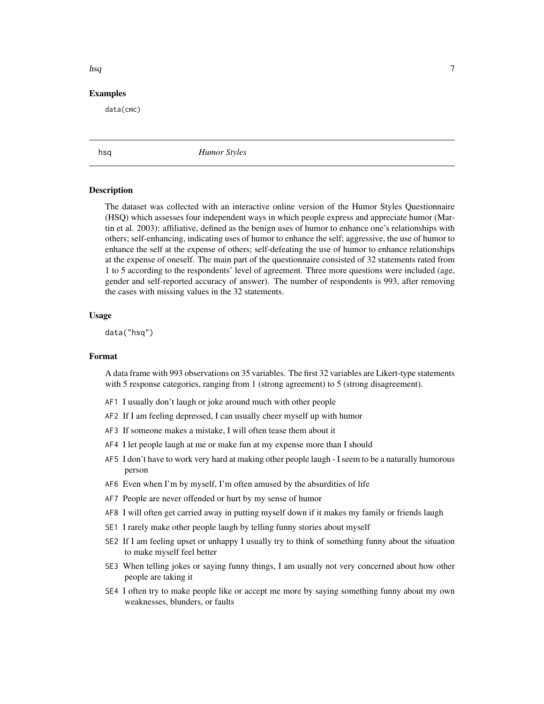#### <span id="page-6-0"></span>Examples

data(cmc)

hsq *Humor Styles*

#### Description

The dataset was collected with an interactive online version of the Humor Styles Questionnaire (HSQ) which assesses four independent ways in which people express and appreciate humor (Martin et al. 2003): affiliative, defined as the benign uses of humor to enhance one's relationships with others; self-enhancing, indicating uses of humor to enhance the self; aggressive, the use of humor to enhance the self at the expense of others; self-defeating the use of humor to enhance relationships at the expense of oneself. The main part of the questionnaire consisted of 32 statements rated from 1 to 5 according to the respondents' level of agreement. Three more questions were included (age, gender and self-reported accuracy of answer). The number of respondents is 993, after removing the cases with missing values in the 32 statements.

#### Usage

data("hsq")

#### Format

A data frame with 993 observations on 35 variables. The first 32 variables are Likert-type statements with 5 response categories, ranging from 1 (strong agreement) to 5 (strong disagreement).

- AF1 I usually don't laugh or joke around much with other people
- AF2 If I am feeling depressed, I can usually cheer myself up with humor
- AF3 If someone makes a mistake, I will often tease them about it
- AF4 I let people laugh at me or make fun at my expense more than I should
- AF5 I don't have to work very hard at making other people laugh I seem to be a naturally humorous person
- AF6 Even when I'm by myself, I'm often amused by the absurdities of life
- AF7 People are never offended or hurt by my sense of humor
- AF8 I will often get carried away in putting myself down if it makes my family or friends laugh
- SE1 I rarely make other people laugh by telling funny stories about myself
- SE2 If I am feeling upset or unhappy I usually try to think of something funny about the situation to make myself feel better
- SE3 When telling jokes or saying funny things, I am usually not very concerned about how other people are taking it
- SE4 I often try to make people like or accept me more by saying something funny about my own weaknesses, blunders, or faults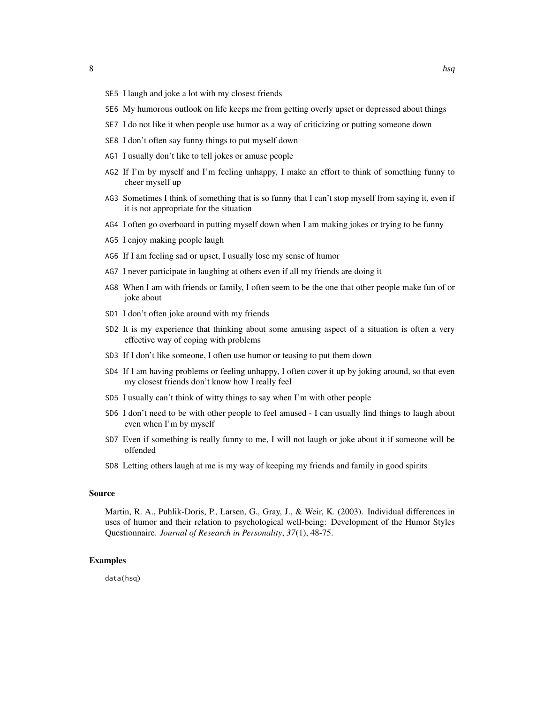- SE5 I laugh and joke a lot with my closest friends
- SE6 My humorous outlook on life keeps me from getting overly upset or depressed about things
- SE7 I do not like it when people use humor as a way of criticizing or putting someone down
- SE8 I don't often say funny things to put myself down
- AG1 I usually don't like to tell jokes or amuse people
- AG2 If I'm by myself and I'm feeling unhappy, I make an effort to think of something funny to cheer myself up
- AG3 Sometimes I think of something that is so funny that I can't stop myself from saying it, even if it is not appropriate for the situation
- AG4 I often go overboard in putting myself down when I am making jokes or trying to be funny
- AG5 I enjoy making people laugh
- AG6 If I am feeling sad or upset, I usually lose my sense of humor
- AG7 I never participate in laughing at others even if all my friends are doing it
- AG8 When I am with friends or family, I often seem to be the one that other people make fun of or joke about
- SD1 I don't often joke around with my friends
- SD2 It is my experience that thinking about some amusing aspect of a situation is often a very effective way of coping with problems
- SD3 If I don't like someone, I often use humor or teasing to put them down
- SD4 If I am having problems or feeling unhappy, I often cover it up by joking around, so that even my closest friends don't know how I really feel
- SD5 I usually can't think of witty things to say when I'm with other people
- SD6 I don't need to be with other people to feel amused I can usually find things to laugh about even when I'm by myself
- SD7 Even if something is really funny to me, I will not laugh or joke about it if someone will be offended
- SD8 Letting others laugh at me is my way of keeping my friends and family in good spirits

#### Source

Martin, R. A., Puhlik-Doris, P., Larsen, G., Gray, J., & Weir, K. (2003). Individual differences in uses of humor and their relation to psychological well-being: Development of the Humor Styles Questionnaire. *Journal of Research in Personality*, *37*(1), 48-75.

#### Examples

data(hsq)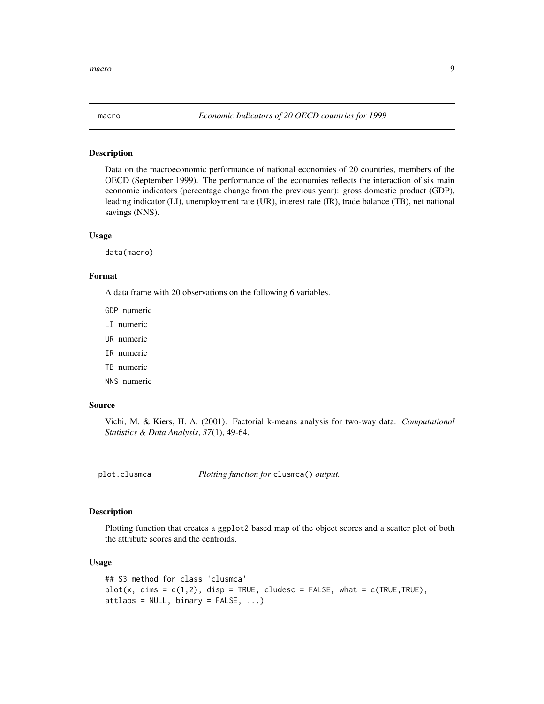<span id="page-8-0"></span>

#### Description

Data on the macroeconomic performance of national economies of 20 countries, members of the OECD (September 1999). The performance of the economies reflects the interaction of six main economic indicators (percentage change from the previous year): gross domestic product (GDP), leading indicator (LI), unemployment rate (UR), interest rate (IR), trade balance (TB), net national savings (NNS).

#### Usage

data(macro)

#### Format

A data frame with 20 observations on the following 6 variables.

GDP numeric

- LI numeric
- UR numeric
- IR numeric
- TB numeric
- NNS numeric

#### Source

Vichi, M. & Kiers, H. A. (2001). Factorial k-means analysis for two-way data. *Computational Statistics & Data Analysis*, *37*(1), 49-64.

<span id="page-8-1"></span>plot.clusmca *Plotting function for* clusmca() *output.*

#### Description

Plotting function that creates a ggplot2 based map of the object scores and a scatter plot of both the attribute scores and the centroids.

#### Usage

```
## S3 method for class 'clusmca'
plot(x, \text{dims} = c(1, 2), \text{disp} = TRUE, \text{cludes} c = FALSE, \text{what} = c(TRUE, TRUE),attlabs = NULL, binary = FALSE, ...)
```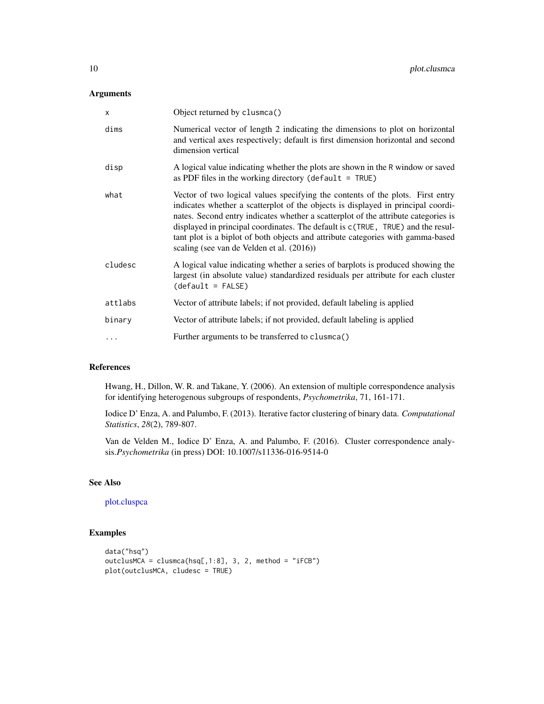#### <span id="page-9-0"></span>Arguments

| X       | Object returned by clusmca()                                                                                                                                                                                                                                                                                                                                                                                                                                                |
|---------|-----------------------------------------------------------------------------------------------------------------------------------------------------------------------------------------------------------------------------------------------------------------------------------------------------------------------------------------------------------------------------------------------------------------------------------------------------------------------------|
| dims    | Numerical vector of length 2 indicating the dimensions to plot on horizontal<br>and vertical axes respectively; default is first dimension horizontal and second<br>dimension vertical                                                                                                                                                                                                                                                                                      |
| disp    | A logical value indicating whether the plots are shown in the R window or saved<br>as PDF files in the working directory (default = $TRUE$ )                                                                                                                                                                                                                                                                                                                                |
| what    | Vector of two logical values specifying the contents of the plots. First entry<br>indicates whether a scatterplot of the objects is displayed in principal coordi-<br>nates. Second entry indicates whether a scatterplot of the attribute categories is<br>displayed in principal coordinates. The default is c(TRUE, TRUE) and the resul-<br>tant plot is a biplot of both objects and attribute categories with gamma-based<br>scaling (see van de Velden et al. (2016)) |
| cludesc | A logical value indicating whether a series of barplots is produced showing the<br>largest (in absolute value) standardized residuals per attribute for each cluster<br>$(detault = FALSE)$                                                                                                                                                                                                                                                                                 |
| attlabs | Vector of attribute labels; if not provided, default labeling is applied                                                                                                                                                                                                                                                                                                                                                                                                    |
| binary  | Vector of attribute labels; if not provided, default labeling is applied                                                                                                                                                                                                                                                                                                                                                                                                    |
| .       | Further arguments to be transferred to clusmca()                                                                                                                                                                                                                                                                                                                                                                                                                            |
|         |                                                                                                                                                                                                                                                                                                                                                                                                                                                                             |

### References

Hwang, H., Dillon, W. R. and Takane, Y. (2006). An extension of multiple correspondence analysis for identifying heterogenous subgroups of respondents, *Psychometrika*, 71, 161-171.

Iodice D' Enza, A. and Palumbo, F. (2013). Iterative factor clustering of binary data. *Computational Statistics*, *28*(2), 789-807.

Van de Velden M., Iodice D' Enza, A. and Palumbo, F. (2016). Cluster correspondence analysis.*Psychometrika* (in press) DOI: 10.1007/s11336-016-9514-0

#### See Also

#### [plot.cluspca](#page-10-1)

#### Examples

```
data("hsq")
outclusMCA = clusmca(hsq[,1:8], 3, 2, method = "iFCB")
plot(outclusMCA, cludesc = TRUE)
```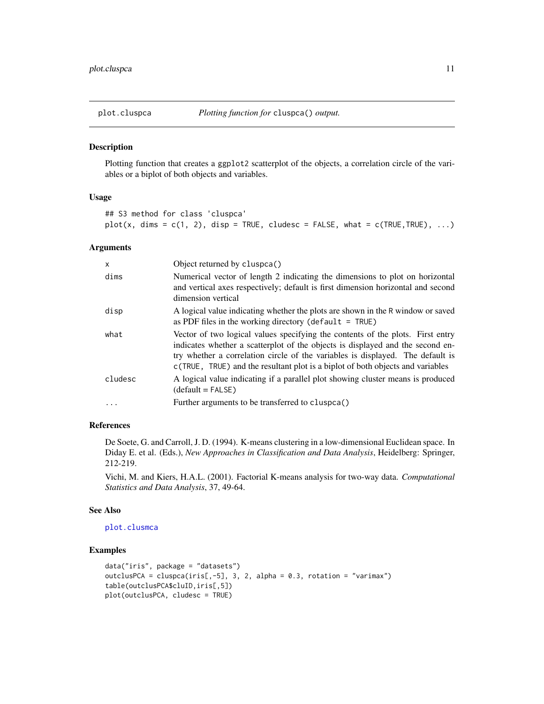<span id="page-10-1"></span><span id="page-10-0"></span>

#### Description

Plotting function that creates a ggplot2 scatterplot of the objects, a correlation circle of the variables or a biplot of both objects and variables.

#### Usage

```
## S3 method for class 'cluspca'
plot(x, \text{dims} = c(1, 2), \text{disp} = TRUE, \text{cludes} = FALSE, \text{what} = c(TRUE, TRUE), ...)
```
#### Arguments

| x       | Object returned by cluspca()                                                                                                                                                                                                                                                                                                         |
|---------|--------------------------------------------------------------------------------------------------------------------------------------------------------------------------------------------------------------------------------------------------------------------------------------------------------------------------------------|
| dims    | Numerical vector of length 2 indicating the dimensions to plot on horizontal<br>and vertical axes respectively; default is first dimension horizontal and second<br>dimension vertical                                                                                                                                               |
| disp    | A logical value indicating whether the plots are shown in the R window or saved<br>as PDF files in the working directory (default $=$ TRUE)                                                                                                                                                                                          |
| what    | Vector of two logical values specifying the contents of the plots. First entry<br>indicates whether a scatterplot of the objects is displayed and the second en-<br>try whether a correlation circle of the variables is displayed. The default is<br>c(TRUE, TRUE) and the resultant plot is a biplot of both objects and variables |
| cludesc | A logical value indicating if a parallel plot showing cluster means is produced<br>$(detault = FALSE)$                                                                                                                                                                                                                               |
| .       | Further arguments to be transferred to cluspca()                                                                                                                                                                                                                                                                                     |

#### References

De Soete, G. and Carroll, J. D. (1994). K-means clustering in a low-dimensional Euclidean space. In Diday E. et al. (Eds.), *New Approaches in Classification and Data Analysis*, Heidelberg: Springer, 212-219.

Vichi, M. and Kiers, H.A.L. (2001). Factorial K-means analysis for two-way data. *Computational Statistics and Data Analysis*, 37, 49-64.

#### See Also

```
plot.clusmca
```
#### Examples

```
data("iris", package = "datasets")
outclusPCA = cluspca(iris[,-5], 3, 2, alpha = 0.3, rotation = "varimax")
table(outclusPCA$cluID,iris[,5])
plot(outclusPCA, cludesc = TRUE)
```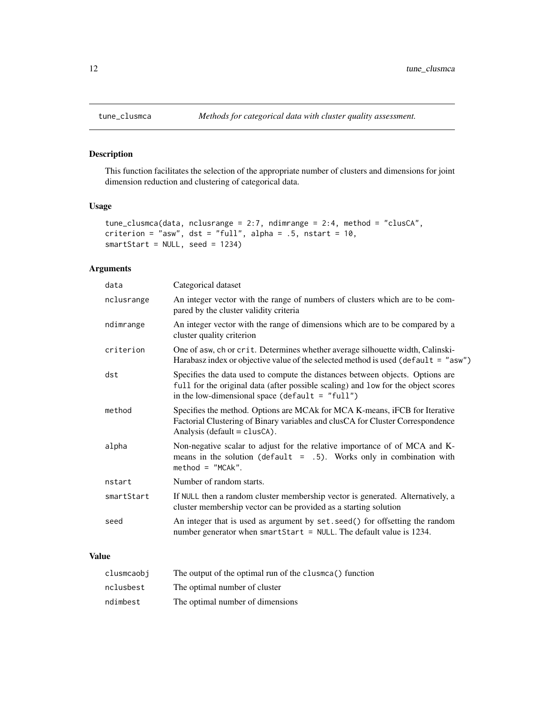#### Description

This function facilitates the selection of the appropriate number of clusters and dimensions for joint dimension reduction and clustering of categorical data.

#### Usage

```
tune_clusmca(data, nclusrange = 2:7, ndimrange = 2:4, method = "clusCA",
criterion = "asw", dst = "full", alpha = .5, nstart = 10,smartStart = NULL, seed = 1234)
```
#### Arguments

| data       | Categorical dataset                                                                                                                                                                                                     |
|------------|-------------------------------------------------------------------------------------------------------------------------------------------------------------------------------------------------------------------------|
| nclusrange | An integer vector with the range of numbers of clusters which are to be com-<br>pared by the cluster validity criteria                                                                                                  |
| ndimrange  | An integer vector with the range of dimensions which are to be compared by a<br>cluster quality criterion                                                                                                               |
| criterion  | One of asw, ch or crit. Determines whether average silhouette width, Calinski-<br>Harabasz index or objective value of the selected method is used (default = $"asw"$ )                                                 |
| dst        | Specifies the data used to compute the distances between objects. Options are<br>full for the original data (after possible scaling) and low for the object scores<br>in the low-dimensional space (default = $"full")$ |
| method     | Specifies the method. Options are MCAk for MCA K-means, iFCB for Iterative<br>Factorial Clustering of Binary variables and clusCA for Cluster Correspondence<br>Analysis ( $default = classCA$ ).                       |
| alpha      | Non-negative scalar to adjust for the relative importance of of MCA and K-<br>means in the solution (default $= .5$ ). Works only in combination with<br>$method = "MCAK".$                                             |
| nstart     | Number of random starts.                                                                                                                                                                                                |
| smartStart | If NULL then a random cluster membership vector is generated. Alternatively, a<br>cluster membership vector can be provided as a starting solution                                                                      |
| seed       | An integer that is used as argument by set. seed() for offsetting the random<br>number generator when smartStart = $NULL$ . The default value is 1234.                                                                  |
|            |                                                                                                                                                                                                                         |

#### Value

| clusmcaobi | The output of the optimal run of the clusmea() function |
|------------|---------------------------------------------------------|
| nclusbest  | The optimal number of cluster                           |
| ndimbest   | The optimal number of dimensions                        |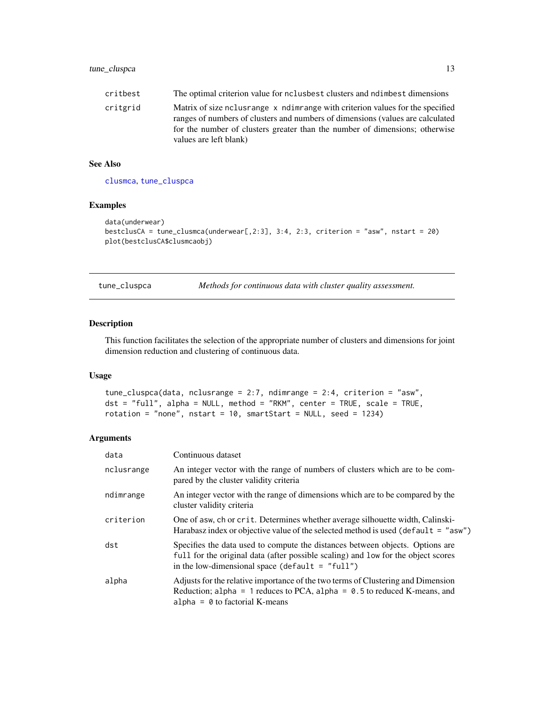<span id="page-12-0"></span>

| critbest | The optimal criterion value for no lusbest clusters and ndimbest dimensions                                      |
|----------|------------------------------------------------------------------------------------------------------------------|
| critgrid | Matrix of size no use and non-<br>ranges of numbers of clusters and numbers of dimensions (values are calculated |
|          | for the number of clusters greater than the number of dimensions; otherwise                                      |

#### See Also

[clusmca](#page-1-1), [tune\\_cluspca](#page-12-1)

values are left blank)

#### Examples

```
data(underwear)
bestclusCA = tune_clusmca(underwear[,2:3], 3:4, 2:3, criterion = "asw", nstart = 20)
plot(bestclusCA$clusmcaobj)
```
<span id="page-12-1"></span>

| tune_cluspca | Methods for continuous data with cluster quality assessment. |  |
|--------------|--------------------------------------------------------------|--|
|              |                                                              |  |

#### Description

This function facilitates the selection of the appropriate number of clusters and dimensions for joint dimension reduction and clustering of continuous data.

#### Usage

```
tune_cluspca(data, nclusrange = 2:7, ndimrange = 2:4, criterion = "asw",
dst = "full", alpha = NULL, method = "RKM", center = TRUE, scale = TRUE,
rotation = "none", nstart = 10, smartStart = NULL, seed = 1234)
```
#### Arguments

| data       | Continuous dataset                                                                                                                                                                                                      |
|------------|-------------------------------------------------------------------------------------------------------------------------------------------------------------------------------------------------------------------------|
| nclusrange | An integer vector with the range of numbers of clusters which are to be com-<br>pared by the cluster validity criteria                                                                                                  |
| ndimrange  | An integer vector with the range of dimensions which are to be compared by the<br>cluster validity criteria                                                                                                             |
| criterion  | One of asw, ch or crit. Determines whether average silhouette width, Calinski-<br>Harabasz index or objective value of the selected method is used (default $=$ "asw")                                                  |
| dst        | Specifies the data used to compute the distances between objects. Options are<br>full for the original data (after possible scaling) and low for the object scores<br>in the low-dimensional space (default $=$ "full") |
| alpha      | Adjusts for the relative importance of the two terms of Clustering and Dimension<br>Reduction; alpha = 1 reduces to PCA, alpha = $0.5$ to reduced K-means, and<br>alpha = $\theta$ to factorial K-means                 |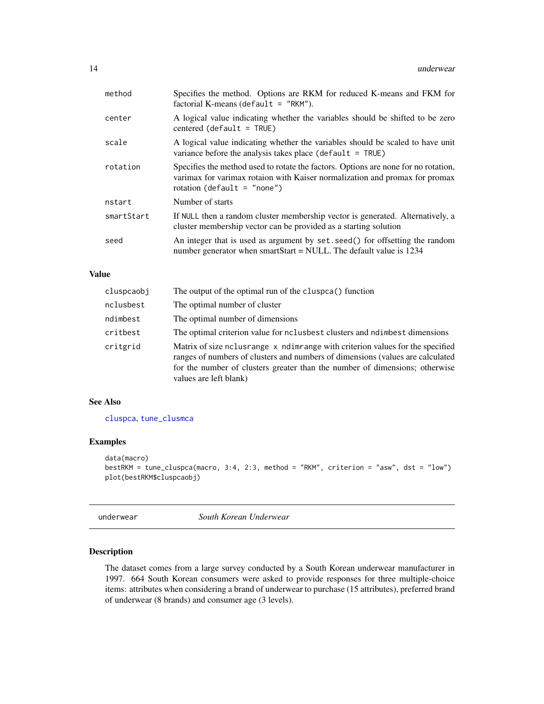<span id="page-13-0"></span>

| method     | Specifies the method. Options are RKM for reduced K-means and FKM for<br>factorial K-means (default $=$ "RKM").                                                                                     |
|------------|-----------------------------------------------------------------------------------------------------------------------------------------------------------------------------------------------------|
| center     | A logical value indicating whether the variables should be shifted to be zero<br>$centered (default = TRUE)$                                                                                        |
| scale      | A logical value indicating whether the variables should be scaled to have unit<br>variance before the analysis takes place ( $default = TRUE$ )                                                     |
| rotation   | Specifies the method used to rotate the factors. Options are none for no rotation,<br>varimax for varimax rotaion with Kaiser normalization and promax for promax<br>rotation (default = $"none"$ ) |
| nstart     | Number of starts                                                                                                                                                                                    |
| smartStart | If NULL then a random cluster membership vector is generated. Alternatively, a<br>cluster membership vector can be provided as a starting solution                                                  |
| seed       | An integer that is used as argument by set. seed() for offsetting the random<br>number generator when smartStart = NULL. The default value is $1234$                                                |
|            |                                                                                                                                                                                                     |

#### Value

| cluspcaobj | The output of the optimal run of the cluspea() function                                                                                                                                                                                                                                                   |
|------------|-----------------------------------------------------------------------------------------------------------------------------------------------------------------------------------------------------------------------------------------------------------------------------------------------------------|
| nclusbest  | The optimal number of cluster                                                                                                                                                                                                                                                                             |
| ndimbest   | The optimal number of dimensions                                                                                                                                                                                                                                                                          |
| critbest   | The optimal criterion value for nclusbest clusters and ndimbest dimensions                                                                                                                                                                                                                                |
| critgrid   | Matrix of size no used as no network of the specified Matrix of size no haim and Matrix of size no have not pe<br>ranges of numbers of clusters and numbers of dimensions (values are calculated<br>for the number of clusters greater than the number of dimensions; otherwise<br>values are left blank) |

#### See Also

[cluspca](#page-2-1), [tune\\_clusmca](#page-11-1)

#### Examples

```
data(macro)
bestRKM = tune_cluspca(macro, 3:4, 2:3, method = "RKM", criterion = "asw", dst = "low")
plot(bestRKM$cluspcaobj)
```
underwear *South Korean Underwear*

#### Description

The dataset comes from a large survey conducted by a South Korean underwear manufacturer in 1997. 664 South Korean consumers were asked to provide responses for three multiple-choice items: attributes when considering a brand of underwear to purchase (15 attributes), preferred brand of underwear (8 brands) and consumer age (3 levels).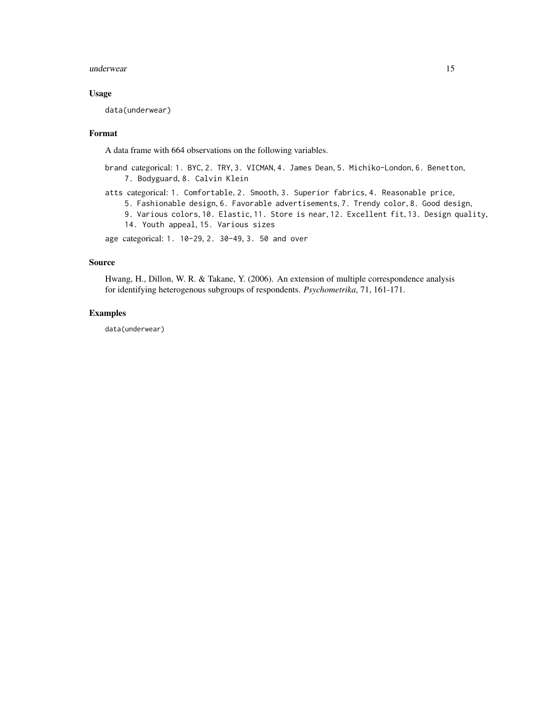#### underwear 15

#### Usage

data(underwear)

#### Format

A data frame with 664 observations on the following variables.

- brand categorical: 1. BYC, 2. TRY, 3. VICMAN, 4. James Dean, 5. Michiko-London, 6. Benetton, 7. Bodyguard, 8. Calvin Klein
- atts categorical: 1. Comfortable, 2. Smooth, 3. Superior fabrics, 4. Reasonable price, 5. Fashionable design, 6. Favorable advertisements, 7. Trendy color, 8. Good design, 9. Various colors, 10. Elastic, 11. Store is near, 12. Excellent fit, 13. Design quality,
	- 14. Youth appeal, 15. Various sizes

age categorical: 1. 10-29, 2. 30-49, 3. 50 and over

#### Source

Hwang, H., Dillon, W. R. & Takane, Y. (2006). An extension of multiple correspondence analysis for identifying heterogenous subgroups of respondents. *Psychometrika*, 71, 161-171.

#### Examples

data(underwear)